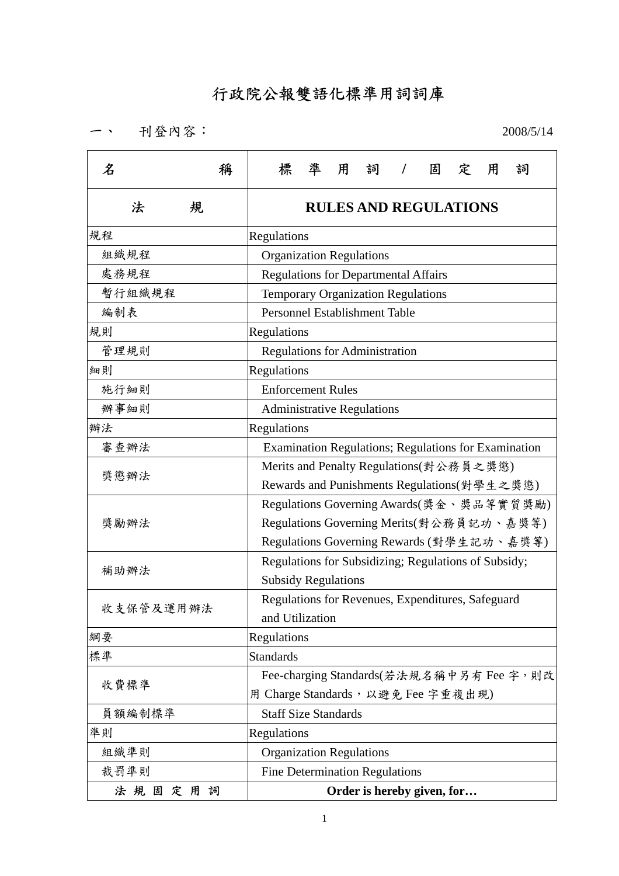## 行政院公報雙語化標準用詞詞庫

一、 刊登內容: 2008/5/14

| 名<br>稱    | 標<br>凖<br>用<br>詞<br>固<br>用<br>詞<br>定<br>$\prime$     |  |  |  |  |  |
|-----------|------------------------------------------------------|--|--|--|--|--|
| 法<br>規    | <b>RULES AND REGULATIONS</b>                         |  |  |  |  |  |
| 規程        | Regulations                                          |  |  |  |  |  |
| 組織規程      | <b>Organization Regulations</b>                      |  |  |  |  |  |
| 處務規程      | <b>Regulations for Departmental Affairs</b>          |  |  |  |  |  |
| 暫行組織規程    | Temporary Organization Regulations                   |  |  |  |  |  |
| 編制表       | Personnel Establishment Table                        |  |  |  |  |  |
| 規則        | Regulations                                          |  |  |  |  |  |
| 管理規則      | <b>Regulations for Administration</b>                |  |  |  |  |  |
| 細則        | Regulations                                          |  |  |  |  |  |
| 施行細則      | <b>Enforcement Rules</b>                             |  |  |  |  |  |
| 辦事細則      | <b>Administrative Regulations</b>                    |  |  |  |  |  |
| 辦法        | Regulations                                          |  |  |  |  |  |
| 審查辦法      | Examination Regulations; Regulations for Examination |  |  |  |  |  |
| 獎懲辦法      | Merits and Penalty Regulations(對公務員之獎懲)              |  |  |  |  |  |
|           | Rewards and Punishments Regulations(對學生之獎懲)          |  |  |  |  |  |
|           | Regulations Governing Awards(獎金、獎品等實質獎勵)             |  |  |  |  |  |
| 獎勵辦法      | Regulations Governing Merits(對公務員記功、嘉獎等)             |  |  |  |  |  |
|           | Regulations Governing Rewards (對學生記功、嘉獎等)            |  |  |  |  |  |
| 補助辦法      | Regulations for Subsidizing; Regulations of Subsidy; |  |  |  |  |  |
|           | <b>Subsidy Regulations</b>                           |  |  |  |  |  |
| 收支保管及運用辦法 | Regulations for Revenues, Expenditures, Safeguard    |  |  |  |  |  |
|           | and Utilization                                      |  |  |  |  |  |
| 綱要        | Regulations                                          |  |  |  |  |  |
| 標準        | <b>Standards</b>                                     |  |  |  |  |  |
| 收費標準      | Fee-charging Standards(若法規名稱中另有 Fee 字, 則改            |  |  |  |  |  |
|           | 用 Charge Standards, 以避免 Fee 字重複出現)                   |  |  |  |  |  |
| 員額編制標準    | <b>Staff Size Standards</b>                          |  |  |  |  |  |
| 準則        | Regulations                                          |  |  |  |  |  |
| 組織準則      | <b>Organization Regulations</b>                      |  |  |  |  |  |
| 裁罰準則      | <b>Fine Determination Regulations</b>                |  |  |  |  |  |
| 法規固定用詞    | Order is hereby given, for                           |  |  |  |  |  |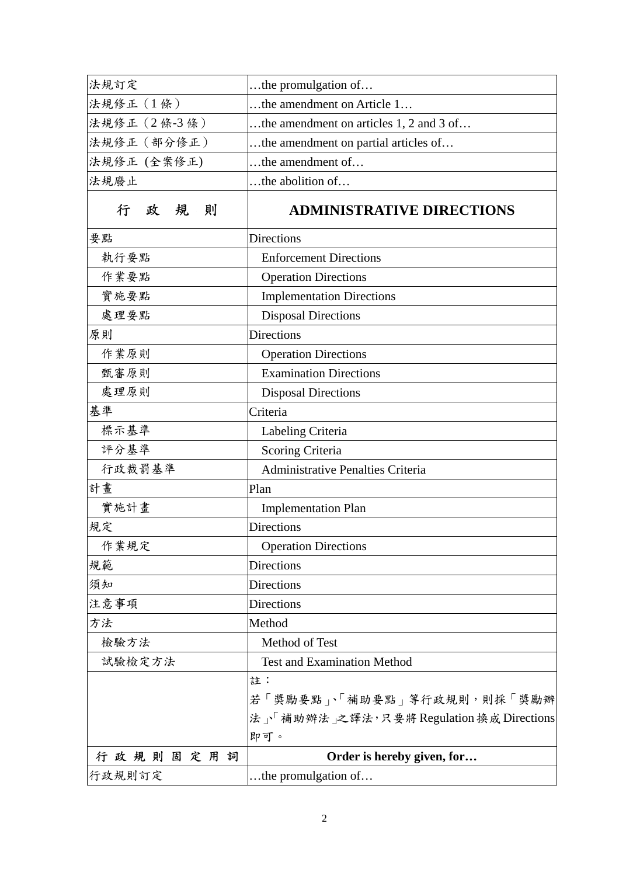| 法規訂定         | the promulgation of                      |
|--------------|------------------------------------------|
| 法規修正 (1條)    | the amendment on Article 1               |
| 法規修正 (2條-3條) | the amendment on articles 1, 2 and 3 of  |
| 法規修正 (部分修正)  | the amendment on partial articles of     |
| 法規修正 (全案修正)  | the amendment of                         |
| 法規廢止         | the abolition of                         |
| 政規<br>則<br>行 | <b>ADMINISTRATIVE DIRECTIONS</b>         |
| 要點           | <b>Directions</b>                        |
| 執行要點         | <b>Enforcement Directions</b>            |
| 作業要點         | <b>Operation Directions</b>              |
| 實施要點         | <b>Implementation Directions</b>         |
| 處理要點         | <b>Disposal Directions</b>               |
| 原則           | <b>Directions</b>                        |
| 作業原則         | <b>Operation Directions</b>              |
| 甄審原則         | <b>Examination Directions</b>            |
| 處理原則         | <b>Disposal Directions</b>               |
| 基準           | Criteria                                 |
| 標示基準         | Labeling Criteria                        |
| 評分基準         | Scoring Criteria                         |
| 行政裁罰基準       | Administrative Penalties Criteria        |
| 計畫           | Plan                                     |
| 實施計畫         | <b>Implementation Plan</b>               |
| 規定           | <b>Directions</b>                        |
| 作業規定         | <b>Operation Directions</b>              |
| 規範           | <b>Directions</b>                        |
| 須知           | <b>Directions</b>                        |
| 注意事項         | <b>Directions</b>                        |
| 方法           | Method                                   |
| 檢驗方法         | Method of Test                           |
| 試驗檢定方法       | <b>Test and Examination Method</b>       |
|              | 註:                                       |
|              | 若「獎勵要點」、「補助要點」等行政規則,則採「獎勵辦               |
|              | 法」「補助辦法」之譯法,只要將 Regulation 換成 Directions |
|              | 即可。                                      |
| 行政規則固定用詞     | Order is hereby given, for               |
| 行政規則訂定       | the promulgation of                      |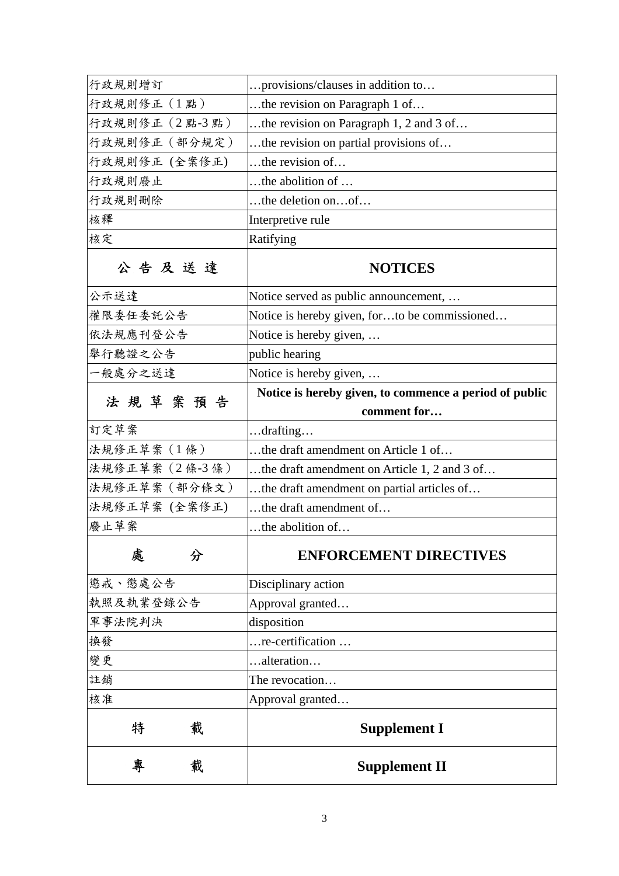| 專<br>載         | <b>Supplement II</b>                                                  |
|----------------|-----------------------------------------------------------------------|
| 載<br>特         | <b>Supplement I</b>                                                   |
| 核准             | Approval granted                                                      |
| 註銷             | The revocation                                                        |
| 變更             | alteration                                                            |
| 換發             | re-certification                                                      |
| 軍事法院判決         | disposition                                                           |
| 執照及執業登錄公告      | Approval granted                                                      |
| 懲戒、懲處公告        | Disciplinary action                                                   |
| 處<br>分         | <b>ENFORCEMENT DIRECTIVES</b>                                         |
| 廢止草案           | the abolition of                                                      |
| 法規修正草案 (全案修正)  | the draft amendment of                                                |
| 法規修正草案 (部分條文)  | the draft amendment on partial articles of                            |
| 法規修正草案 (2條-3條) | the draft amendment on Article 1, 2 and 3 of                          |
| 法規修正草案 (1條)    | the draft amendment on Article 1 of                                   |
| 訂定草案           | drafting                                                              |
| 法規草案預告         | Notice is hereby given, to commence a period of public<br>comment for |
| 一般處分之送達        | Notice is hereby given,                                               |
| 舉行聽證之公告        | public hearing                                                        |
| 依法規應刊登公告       | Notice is hereby given,                                               |
| 權限委任委託公告       | Notice is hereby given, forto be commissioned                         |
| 公示送達           | Notice served as public announcement,                                 |
| 公告及送達          | <b>NOTICES</b>                                                        |
| 核定             | Ratifying                                                             |
| 核釋             | Interpretive rule                                                     |
| 行政規則刪除         | the deletion onof                                                     |
| 行政規則廢止         | the abolition of                                                      |
| 行政規則修正 (全案修正)  | $$ the revision of $$                                                 |
| 行政規則修正 (部分規定)  | the revision on partial provisions of                                 |
| 行政規則修正 (2點-3點) | the revision on Paragraph 1, 2 and 3 of                               |
| 行政規則修正 (1點)    | the revision on Paragraph 1 of                                        |
| 行政規則增訂         | provisions/clauses in addition to                                     |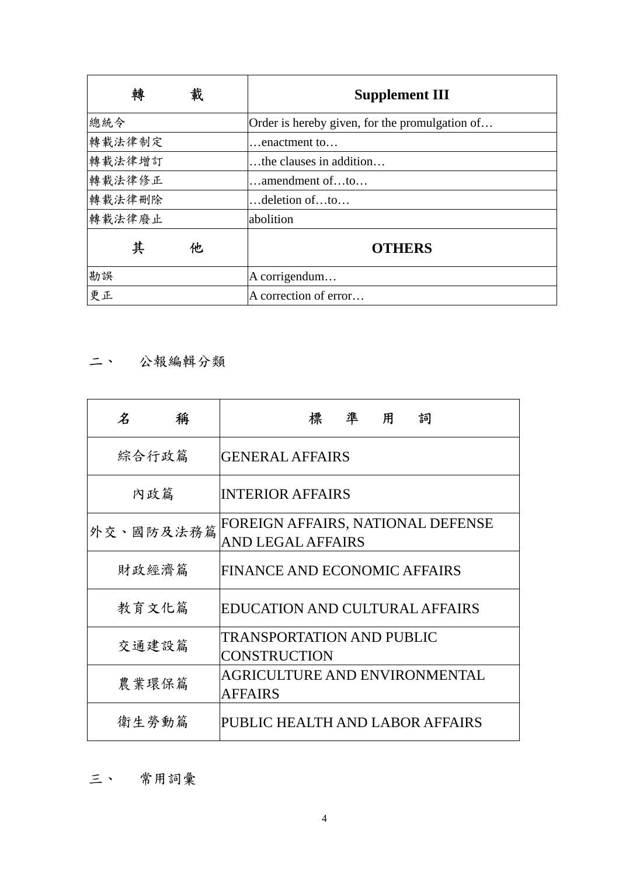| 轉<br>載 | <b>Supplement III</b>                          |
|--------|------------------------------------------------|
| 總統令    | Order is hereby given, for the promulgation of |
| 轉載法律制定 | $\ldots$ enactment to $\ldots$                 |
| 轉載法律增訂 | the clauses in addition                        |
| 轉載法律修正 | $\dots$ amendment of $\dots$ to                |
| 轉載法律刪除 | $$ deletion of $$ to                           |
| 轉載法律廢止 | abolition                                      |
| 其<br>他 | <b>OTHERS</b>                                  |
| 勘誤     | A corrigendum                                  |
| 更正     | A correction of error                          |

二、 公報編輯分類

| $\pmb{\mathcal{Z}}$<br>稱 | 準用<br>標<br>詞                                            |
|--------------------------|---------------------------------------------------------|
| 綜合行政篇                    | <b>GENERAL AFFAIRS</b>                                  |
| 内政篇                      | <b>INTERIOR AFFAIRS</b>                                 |
| 外交、國防及法務篇                | FOREIGN AFFAIRS, NATIONAL DEFENSE<br>AND LEGAL AFFAIRS  |
| 財政經濟篇                    | <b>FINANCE AND ECONOMIC AFFAIRS</b>                     |
| 教育文化篇                    | EDUCATION AND CULTURAL AFFAIRS                          |
| 交通建設篇                    | <b>TRANSPORTATION AND PUBLIC</b><br><b>CONSTRUCTION</b> |
| 農業環保篇                    | <b>AGRICULTURE AND ENVIRONMENTAL</b><br><b>AFFAIRS</b>  |
| 衛生勞動篇                    | PUBLIC HEALTH AND LABOR AFFAIRS                         |

三、 常用詞彙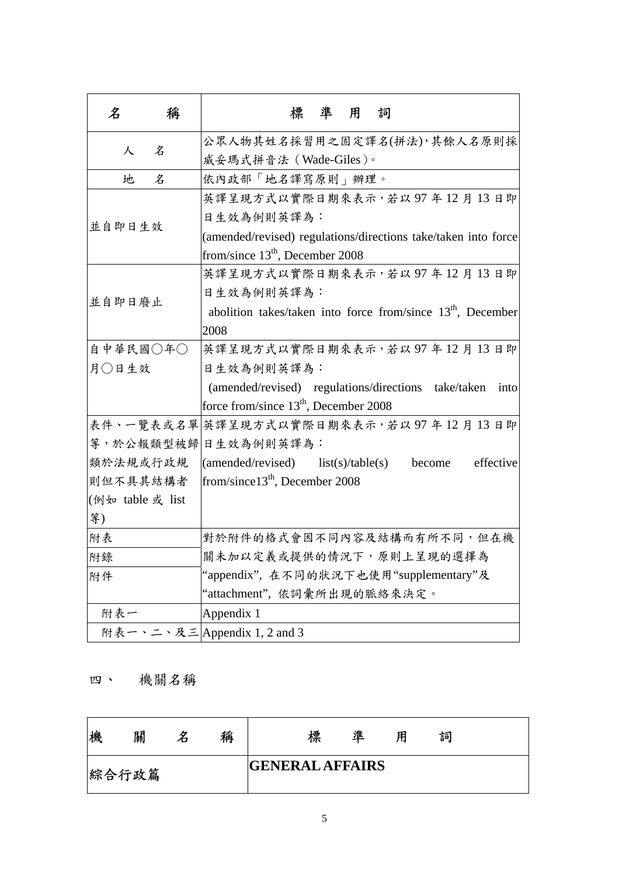| 名                | 稱                           | 標準用<br>詞                                                                |
|------------------|-----------------------------|-------------------------------------------------------------------------|
|                  | 公眾人物其姓名採習用之固定譯名(拼法),其餘人名原則採 |                                                                         |
| 人                | 名                           | 威妥瑪式拼音法 (Wade-Giles)。                                                   |
| 地                | 名                           | 依內政部「地名譯寫原則」辦理。                                                         |
|                  |                             | 英譯呈現方式以實際日期來表示,若以97年12月13日即                                             |
| 並自即日生效           |                             | 日生效為例則英譯為:                                                              |
|                  |                             | (amended/revised) regulations/directions take/taken into force          |
|                  |                             | from/since $13th$ , December 2008                                       |
|                  |                             | 英譯呈現方式以實際日期來表示,若以97年12月13日即                                             |
| 並自即日廢止           |                             | 日生效為例則英譯為:                                                              |
|                  |                             | abolition takes/taken into force from/since 13 <sup>th</sup> , December |
|                  |                             | 2008                                                                    |
| 自中華民國○年○         |                             | 英譯呈現方式以實際日期來表示,若以97年12月13日即                                             |
| 月○日生效            |                             | 日生效為例則英譯為:                                                              |
|                  |                             | (amended/revised) regulations/directions take/taken into                |
|                  |                             | force from/since 13 <sup>th</sup> , December 2008                       |
|                  |                             | 表件、一覽表或名單 英譯呈現方式以實際日期來表示,若以97年12月13日即                                   |
|                  |                             | 等,於公報類型被歸日生效為例則英譯為:                                                     |
| 類於法規或行政規         |                             | $(amended/revised)$ list(s)/table(s)<br>effective<br>become             |
| 則但不具其結構者         |                             | from/since $13th$ , December 2008                                       |
| (例如 table 或 list |                             |                                                                         |
| 等)               |                             |                                                                         |
| 附表               |                             | 對於附件的格式會因不同內容及結構而有所不同,但在機                                               |
| 附錄               |                             | 關未加以定義或提供的情況下,原則上呈現的選擇為                                                 |
| 附件               |                             | "appendix", 在不同的狀況下也使用"supplementary"及                                  |
|                  |                             | "attachment", 依詞彙所出現的脈絡來決定。                                             |
| 附表一              |                             | Appendix 1                                                              |
|                  |                             | 附表一、二、及三 Appendix 1, 2 and 3                                            |

## 四、 機關名稱

| 機     | 關 | 稱 |                        | 標 | 進 | 用 | 詞 |
|-------|---|---|------------------------|---|---|---|---|
| 綜合行政篇 |   |   | <b>GENERAL AFFAIRS</b> |   |   |   |   |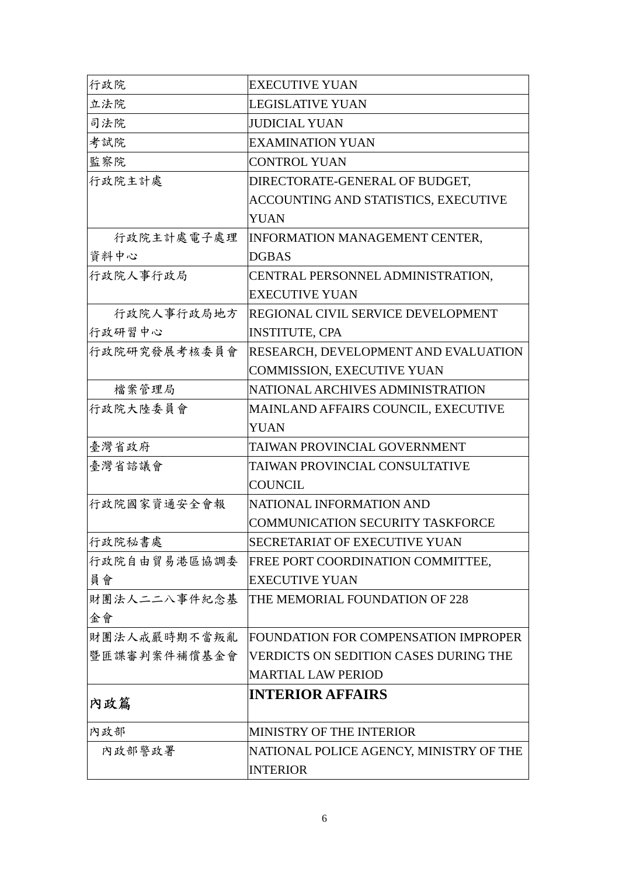| 行政院          | <b>EXECUTIVE YUAN</b>                        |
|--------------|----------------------------------------------|
| 立法院          | <b>LEGISLATIVE YUAN</b>                      |
| 司法院          | <b>JUDICIAL YUAN</b>                         |
| 考試院          | <b>EXAMINATION YUAN</b>                      |
| 監察院          | <b>CONTROL YUAN</b>                          |
| 行政院主計處       | DIRECTORATE-GENERAL OF BUDGET,               |
|              | ACCOUNTING AND STATISTICS, EXECUTIVE         |
|              | <b>YUAN</b>                                  |
| 行政院主計處電子處理   | <b>INFORMATION MANAGEMENT CENTER,</b>        |
| 資料中心         | <b>DGBAS</b>                                 |
| 行政院人事行政局     | CENTRAL PERSONNEL ADMINISTRATION,            |
|              | <b>EXECUTIVE YUAN</b>                        |
| 行政院人事行政局地方   | REGIONAL CIVIL SERVICE DEVELOPMENT           |
| 行政研習中心       | <b>INSTITUTE, CPA</b>                        |
| 行政院研究發展考核委員會 | RESEARCH, DEVELOPMENT AND EVALUATION         |
|              | COMMISSION, EXECUTIVE YUAN                   |
| 檔案管理局        | NATIONAL ARCHIVES ADMINISTRATION             |
| 行政院大陸委員會     | MAINLAND AFFAIRS COUNCIL, EXECUTIVE          |
|              | <b>YUAN</b>                                  |
| 臺灣省政府        | TAIWAN PROVINCIAL GOVERNMENT                 |
| 臺灣省諮議會       | TAIWAN PROVINCIAL CONSULTATIVE               |
|              | <b>COUNCIL</b>                               |
| 行政院國家資通安全會報  | NATIONAL INFORMATION AND                     |
|              | COMMUNICATION SECURITY TASKFORCE             |
| 行政院秘書處       | SECRETARIAT OF EXECUTIVE YUAN                |
| 行政院自由貿易港區協調委 | FREE PORT COORDINATION COMMITTEE,            |
| 員會           | <b>EXECUTIVE YUAN</b>                        |
| 財團法人二二八事件紀念基 | THE MEMORIAL FOUNDATION OF 228               |
| 金會           |                                              |
| 財團法人戒嚴時期不當叛亂 | FOUNDATION FOR COMPENSATION IMPROPER         |
| 暨匪諜審判案件補償基金會 | <b>VERDICTS ON SEDITION CASES DURING THE</b> |
|              | <b>MARTIAL LAW PERIOD</b>                    |
| 內政篇          | <b>INTERIOR AFFAIRS</b>                      |
|              |                                              |
| 内政部          | MINISTRY OF THE INTERIOR                     |
| 内政部警政署       | NATIONAL POLICE AGENCY, MINISTRY OF THE      |
|              | <b>INTERIOR</b>                              |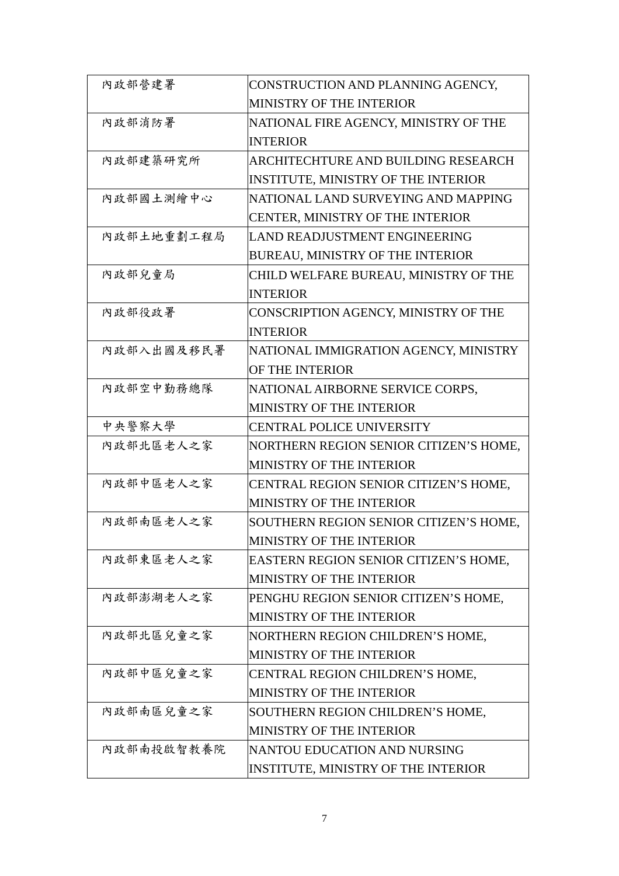| 內政部營建署     | CONSTRUCTION AND PLANNING AGENCY,      |
|------------|----------------------------------------|
|            | MINISTRY OF THE INTERIOR               |
| 內政部消防署     | NATIONAL FIRE AGENCY, MINISTRY OF THE  |
|            | <b>INTERIOR</b>                        |
| 内政部建築研究所   | ARCHITECHTURE AND BUILDING RESEARCH    |
|            | INSTITUTE, MINISTRY OF THE INTERIOR    |
| 内政部國土測繪中心  | NATIONAL LAND SURVEYING AND MAPPING    |
|            | CENTER, MINISTRY OF THE INTERIOR       |
| 内政部土地重劃工程局 | LAND READJUSTMENT ENGINEERING          |
|            | BUREAU, MINISTRY OF THE INTERIOR       |
| 內政部兒童局     | CHILD WELFARE BUREAU, MINISTRY OF THE  |
|            | <b>INTERIOR</b>                        |
| 內政部役政署     | CONSCRIPTION AGENCY, MINISTRY OF THE   |
|            | <b>INTERIOR</b>                        |
| 内政部入出國及移民署 | NATIONAL IMMIGRATION AGENCY, MINISTRY  |
|            | OF THE INTERIOR                        |
| 内政部空中勤務總隊  | NATIONAL AIRBORNE SERVICE CORPS,       |
|            | MINISTRY OF THE INTERIOR               |
| 中央警察大學     | <b>CENTRAL POLICE UNIVERSITY</b>       |
| 内政部北區老人之家  | NORTHERN REGION SENIOR CITIZEN'S HOME, |
|            | MINISTRY OF THE INTERIOR               |
| 内政部中區老人之家  | CENTRAL REGION SENIOR CITIZEN'S HOME,  |
|            | MINISTRY OF THE INTERIOR               |
| 内政部南區老人之家  | SOUTHERN REGION SENIOR CITIZEN'S HOME, |
|            | MINISTRY OF THE INTERIOR               |
| 内政部東區老人之家  | EASTERN REGION SENIOR CITIZEN'S HOME,  |
|            | MINISTRY OF THE INTERIOR               |
| 内政部澎湖老人之家  | PENGHU REGION SENIOR CITIZEN'S HOME,   |
|            | MINISTRY OF THE INTERIOR               |
| 内政部北區兒童之家  | NORTHERN REGION CHILDREN'S HOME,       |
|            | MINISTRY OF THE INTERIOR               |
| 内政部中區兒童之家  | CENTRAL REGION CHILDREN'S HOME,        |
|            | MINISTRY OF THE INTERIOR               |
| 内政部南區兒童之家  | SOUTHERN REGION CHILDREN'S HOME,       |
|            | MINISTRY OF THE INTERIOR               |
| 內政部南投啟智教養院 | NANTOU EDUCATION AND NURSING           |
|            | INSTITUTE, MINISTRY OF THE INTERIOR    |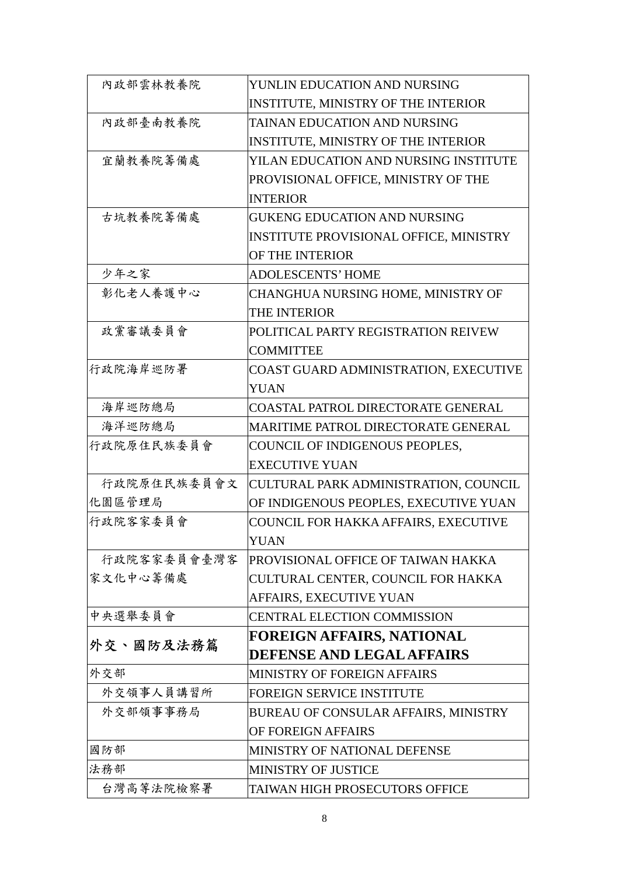| 內政部雲林教養院    | YUNLIN EDUCATION AND NURSING                |
|-------------|---------------------------------------------|
|             | INSTITUTE, MINISTRY OF THE INTERIOR         |
| 內政部臺南教養院    | TAINAN EDUCATION AND NURSING                |
|             | <b>INSTITUTE, MINISTRY OF THE INTERIOR</b>  |
| 宜蘭教養院籌備處    | YILAN EDUCATION AND NURSING INSTITUTE       |
|             | PROVISIONAL OFFICE, MINISTRY OF THE         |
|             | <b>INTERIOR</b>                             |
| 古坑教養院籌備處    | <b>GUKENG EDUCATION AND NURSING</b>         |
|             | INSTITUTE PROVISIONAL OFFICE, MINISTRY      |
|             | OF THE INTERIOR                             |
| 少年之家        | <b>ADOLESCENTS' HOME</b>                    |
| 彰化老人養護中心    | CHANGHUA NURSING HOME, MINISTRY OF          |
|             | THE INTERIOR                                |
| 政黨審議委員會     | POLITICAL PARTY REGISTRATION REIVEW         |
|             | <b>COMMITTEE</b>                            |
| 行政院海岸巡防署    | COAST GUARD ADMINISTRATION, EXECUTIVE       |
|             | <b>YUAN</b>                                 |
| 海岸巡防總局      | COASTAL PATROL DIRECTORATE GENERAL          |
| 海洋巡防總局      | <b>MARITIME PATROL DIRECTORATE GENERAL</b>  |
| 行政院原住民族委員會  | COUNCIL OF INDIGENOUS PEOPLES,              |
|             | <b>EXECUTIVE YUAN</b>                       |
| 行政院原住民族委員會文 | CULTURAL PARK ADMINISTRATION, COUNCIL       |
| 化園區管理局      | OF INDIGENOUS PEOPLES, EXECUTIVE YUAN       |
| 行政院客家委員會    | COUNCIL FOR HAKKA AFFAIRS, EXECUTIVE        |
|             | <b>YUAN</b>                                 |
| 行政院客家委員會臺灣客 | PROVISIONAL OFFICE OF TAIWAN HAKKA          |
| 家文化中心籌備處    | CULTURAL CENTER, COUNCIL FOR HAKKA          |
|             | AFFAIRS, EXECUTIVE YUAN                     |
| 中央選舉委員會     | <b>CENTRAL ELECTION COMMISSION</b>          |
|             | FOREIGN AFFAIRS, NATIONAL                   |
| 外交、國防及法務篇   | <b>DEFENSE AND LEGAL AFFAIRS</b>            |
| 外交部         | <b>MINISTRY OF FOREIGN AFFAIRS</b>          |
| 外交領事人員講習所   | FOREIGN SERVICE INSTITUTE                   |
| 外交部領事事務局    | <b>BUREAU OF CONSULAR AFFAIRS, MINISTRY</b> |
|             | OF FOREIGN AFFAIRS                          |
| 國防部         | MINISTRY OF NATIONAL DEFENSE                |
| 法務部         | <b>MINISTRY OF JUSTICE</b>                  |
| 台灣高等法院檢察署   | TAIWAN HIGH PROSECUTORS OFFICE              |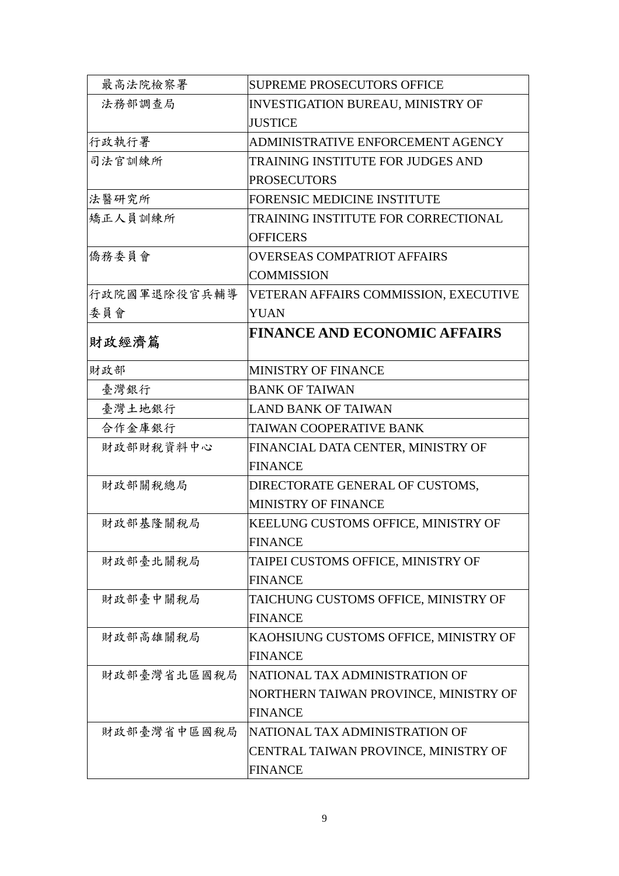| 最高法院檢察署      | <b>SUPREME PROSECUTORS OFFICE</b>        |
|--------------|------------------------------------------|
| 法務部調查局       | <b>INVESTIGATION BUREAU, MINISTRY OF</b> |
|              | <b>JUSTICE</b>                           |
| 行政執行署        | ADMINISTRATIVE ENFORCEMENT AGENCY        |
| 司法官訓練所       | TRAINING INSTITUTE FOR JUDGES AND        |
|              | <b>PROSECUTORS</b>                       |
| 法醫研究所        | <b>FORENSIC MEDICINE INSTITUTE</b>       |
| 矯正人員訓練所      | TRAINING INSTITUTE FOR CORRECTIONAL      |
|              | <b>OFFICERS</b>                          |
| 僑務委員會        | <b>OVERSEAS COMPATRIOT AFFAIRS</b>       |
|              | <b>COMMISSION</b>                        |
| 行政院國軍退除役官兵輔導 | VETERAN AFFAIRS COMMISSION, EXECUTIVE    |
| 委員會          | <b>YUAN</b>                              |
| 財政經濟篇        | <b>FINANCE AND ECONOMIC AFFAIRS</b>      |
|              |                                          |
| 財政部          | <b>MINISTRY OF FINANCE</b>               |
| 臺灣銀行         | <b>BANK OF TAIWAN</b>                    |
| 臺灣土地銀行       | <b>LAND BANK OF TAIWAN</b>               |
| 合作金庫銀行       | TAIWAN COOPERATIVE BANK                  |
| 財政部財稅資料中心    | FINANCIAL DATA CENTER, MINISTRY OF       |
|              | <b>FINANCE</b>                           |
| 財政部關稅總局      | DIRECTORATE GENERAL OF CUSTOMS,          |
|              | <b>MINISTRY OF FINANCE</b>               |
| 財政部基隆關稅局     | KEELUNG CUSTOMS OFFICE, MINISTRY OF      |
|              | <b>FINANCE</b>                           |
| 財政部臺北關稅局     | TAIPEI CUSTOMS OFFICE, MINISTRY OF       |
|              | <b>FINANCE</b>                           |
| 財政部臺中關稅局     | TAICHUNG CUSTOMS OFFICE, MINISTRY OF     |
|              | <b>FINANCE</b>                           |
| 財政部高雄關稅局     | KAOHSIUNG CUSTOMS OFFICE, MINISTRY OF    |
|              | <b>FINANCE</b>                           |
| 財政部臺灣省北區國稅局  | NATIONAL TAX ADMINISTRATION OF           |
|              | NORTHERN TAIWAN PROVINCE, MINISTRY OF    |
|              | <b>FINANCE</b>                           |
| 財政部臺灣省中區國稅局  | NATIONAL TAX ADMINISTRATION OF           |
|              | CENTRAL TAIWAN PROVINCE, MINISTRY OF     |
|              | <b>FINANCE</b>                           |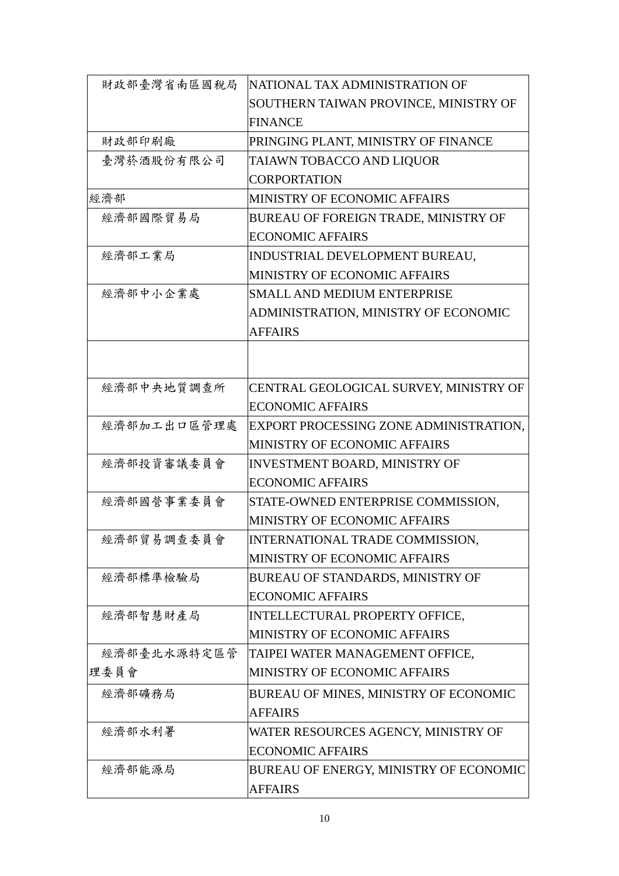| 財政部臺灣省南區國稅局 | NATIONAL TAX ADMINISTRATION OF         |
|-------------|----------------------------------------|
|             | SOUTHERN TAIWAN PROVINCE, MINISTRY OF  |
|             | <b>FINANCE</b>                         |
| 財政部印刷廠      | PRINGING PLANT, MINISTRY OF FINANCE    |
| 臺灣菸酒股份有限公司  | TAIAWN TOBACCO AND LIQUOR              |
|             | <b>CORPORTATION</b>                    |
| 經濟部         | MINISTRY OF ECONOMIC AFFAIRS           |
| 經濟部國際貿易局    | BUREAU OF FOREIGN TRADE, MINISTRY OF   |
|             | <b>ECONOMIC AFFAIRS</b>                |
| 經濟部工業局      | INDUSTRIAL DEVELOPMENT BUREAU,         |
|             | MINISTRY OF ECONOMIC AFFAIRS           |
| 經濟部中小企業處    | SMALL AND MEDIUM ENTERPRISE            |
|             | ADMINISTRATION, MINISTRY OF ECONOMIC   |
|             | <b>AFFAIRS</b>                         |
|             |                                        |
|             |                                        |
| 經濟部中央地質調查所  | CENTRAL GEOLOGICAL SURVEY, MINISTRY OF |
|             | <b>ECONOMIC AFFAIRS</b>                |
| 經濟部加工出口區管理處 | EXPORT PROCESSING ZONE ADMINISTRATION, |
|             | MINISTRY OF ECONOMIC AFFAIRS           |
| 經濟部投資審議委員會  | <b>INVESTMENT BOARD, MINISTRY OF</b>   |
|             | <b>ECONOMIC AFFAIRS</b>                |
| 經濟部國營事業委員會  | STATE-OWNED ENTERPRISE COMMISSION,     |
|             | MINISTRY OF ECONOMIC AFFAIRS           |
| 经濟部貿易調查委員會  | <b>INTERNATIONAL TRADE COMMISSION</b>  |
|             | MINISTRY OF ECONOMIC AFFAIRS           |
| 經濟部標準檢驗局    | BUREAU OF STANDARDS, MINISTRY OF       |
|             | <b>ECONOMIC AFFAIRS</b>                |
| 經濟部智慧財產局    | INTELLECTURAL PROPERTY OFFICE,         |
|             | MINISTRY OF ECONOMIC AFFAIRS           |
| 經濟部臺北水源特定區管 | TAIPEI WATER MANAGEMENT OFFICE,        |
| 理委員會        | MINISTRY OF ECONOMIC AFFAIRS           |
| 經濟部礦務局      | BUREAU OF MINES, MINISTRY OF ECONOMIC  |
|             | <b>AFFAIRS</b>                         |
| 經濟部水利署      | WATER RESOURCES AGENCY, MINISTRY OF    |
|             | <b>ECONOMIC AFFAIRS</b>                |
| 經濟部能源局      | BUREAU OF ENERGY, MINISTRY OF ECONOMIC |
|             | <b>AFFAIRS</b>                         |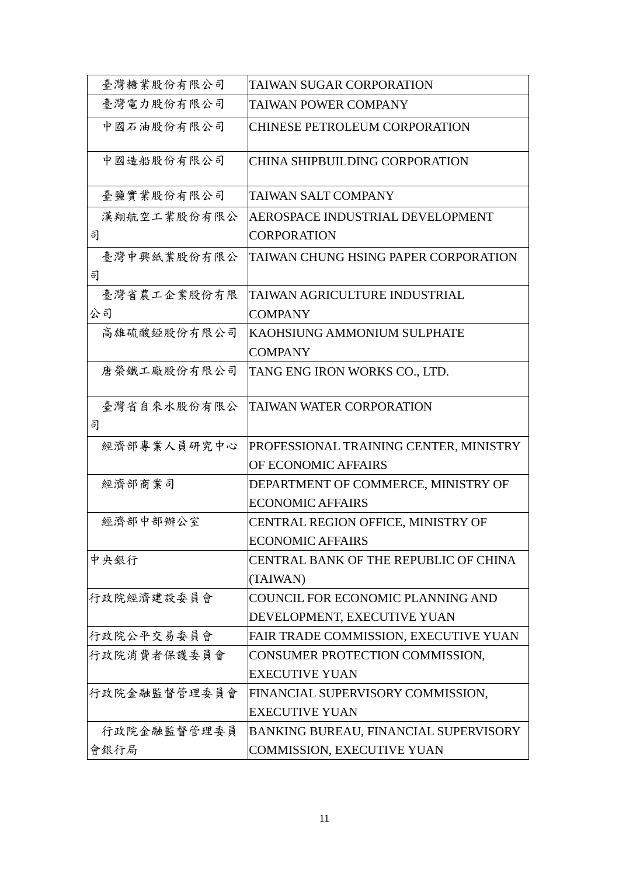| 臺灣糖業股份有限公司       | TAIWAN SUGAR CORPORATION                     |
|------------------|----------------------------------------------|
| 臺灣電力股份有限公司       | <b>TAIWAN POWER COMPANY</b>                  |
| 中國石油股份有限公司       | <b>CHINESE PETROLEUM CORPORATION</b>         |
| 中國造船股份有限公司       | <b>CHINA SHIPBUILDING CORPORATION</b>        |
| 臺鹽實業股份有限公司       | <b>TAIWAN SALT COMPANY</b>                   |
| 漢翔航空工業股份有限公      | AEROSPACE INDUSTRIAL DEVELOPMENT             |
| 司                | <b>CORPORATION</b>                           |
| 臺灣中興紙業股份有限公<br>司 | TAIWAN CHUNG HSING PAPER CORPORATION         |
| 臺灣省農工企業股份有限      | TAIWAN AGRICULTURE INDUSTRIAL                |
| 公司               | <b>COMPANY</b>                               |
| 高雄硫酸錏股份有限公司      | <b>KAOHSIUNG AMMONIUM SULPHATE</b>           |
|                  | <b>COMPANY</b>                               |
| 唐榮鐵工廠股份有限公司      | TANG ENG IRON WORKS CO., LTD.                |
| 臺灣省自來水股份有限公      | <b>TAIWAN WATER CORPORATION</b>              |
| 司                |                                              |
| 經濟部專業人員研究中心      | PROFESSIONAL TRAINING CENTER, MINISTRY       |
|                  | OF ECONOMIC AFFAIRS                          |
| 經濟部商業司           | DEPARTMENT OF COMMERCE, MINISTRY OF          |
|                  | <b>ECONOMIC AFFAIRS</b>                      |
| 經濟部中部辦公室         | CENTRAL REGION OFFICE, MINISTRY OF           |
|                  | <b>ECONOMIC AFFAIRS</b>                      |
| 中央銀行             | CENTRAL BANK OF THE REPUBLIC OF CHINA        |
|                  | (TAIWAN)                                     |
| 行政院經濟建設委員會       | <b>COUNCIL FOR ECONOMIC PLANNING AND</b>     |
|                  | DEVELOPMENT, EXECUTIVE YUAN                  |
| 行政院公平交易委員會       | FAIR TRADE COMMISSION, EXECUTIVE YUAN        |
| 行政院消費者保護委員會      | CONSUMER PROTECTION COMMISSION,              |
|                  | <b>EXECUTIVE YUAN</b>                        |
| 行政院金融監督管理委員會     | FINANCIAL SUPERVISORY COMMISSION,            |
|                  | <b>EXECUTIVE YUAN</b>                        |
| 行政院金融監督管理委員      | <b>BANKING BUREAU, FINANCIAL SUPERVISORY</b> |
| 會銀行局             | <b>COMMISSION, EXECUTIVE YUAN</b>            |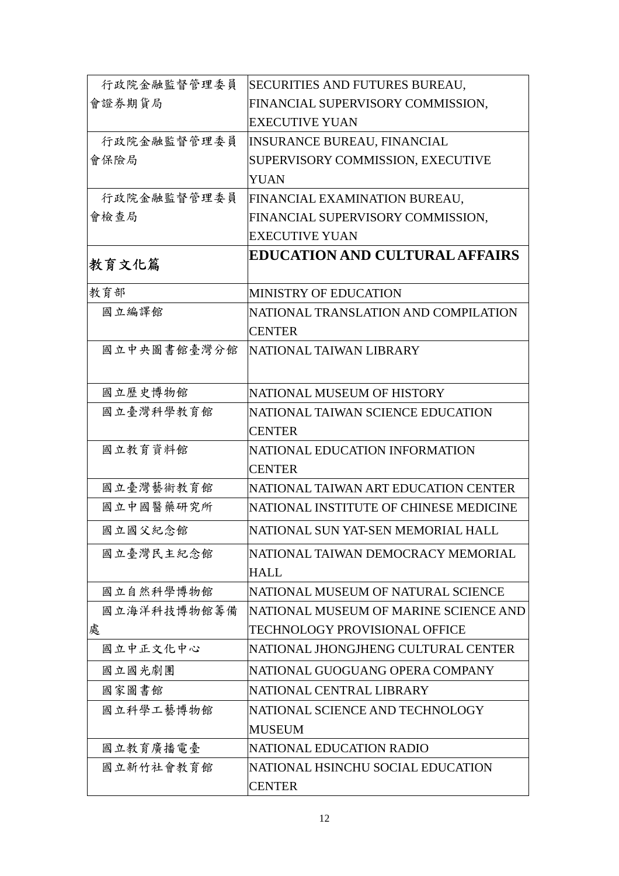| 行政院金融監督管理委員 | SECURITIES AND FUTURES BUREAU,         |
|-------------|----------------------------------------|
| 會證券期貨局      | FINANCIAL SUPERVISORY COMMISSION,      |
|             | <b>EXECUTIVE YUAN</b>                  |
| 行政院金融監督管理委員 | <b>INSURANCE BUREAU, FINANCIAL</b>     |
| 會保險局        | SUPERVISORY COMMISSION, EXECUTIVE      |
|             | <b>YUAN</b>                            |
| 行政院金融監督管理委員 | FINANCIAL EXAMINATION BUREAU,          |
| 會檢查局        | FINANCIAL SUPERVISORY COMMISSION,      |
|             | <b>EXECUTIVE YUAN</b>                  |
| 教育文化篇       | <b>EDUCATION AND CULTURAL AFFAIRS</b>  |
| 教育部         | <b>MINISTRY OF EDUCATION</b>           |
| 國立編譯館       | NATIONAL TRANSLATION AND COMPILATION   |
|             | <b>CENTER</b>                          |
| 國立中央圖書館臺灣分館 | NATIONAL TAIWAN LIBRARY                |
|             |                                        |
| 國立歷史博物館     | NATIONAL MUSEUM OF HISTORY             |
| 國立臺灣科學教育館   | NATIONAL TAIWAN SCIENCE EDUCATION      |
|             | <b>CENTER</b>                          |
| 國立教育資料館     | NATIONAL EDUCATION INFORMATION         |
|             | <b>CENTER</b>                          |
| 國立臺灣藝術教育館   | NATIONAL TAIWAN ART EDUCATION CENTER   |
| 國立中國醫藥研究所   | NATIONAL INSTITUTE OF CHINESE MEDICINE |
| 國立國父紀念館     | NATIONAL SUN YAT-SEN MEMORIAL HALL     |
| 國立臺灣民主紀念館   | NATIONAL TAIWAN DEMOCRACY MEMORIAL     |
|             | <b>HALL</b>                            |
| 國立自然科學博物館   | NATIONAL MUSEUM OF NATURAL SCIENCE     |
| 國立海洋科技博物館籌備 | NATIONAL MUSEUM OF MARINE SCIENCE AND  |
| 處           | <b>TECHNOLOGY PROVISIONAL OFFICE</b>   |
| 國立中正文化中心    | NATIONAL JHONGJHENG CULTURAL CENTER    |
| 國立國光劇團      | NATIONAL GUOGUANG OPERA COMPANY        |
| 國家圖書館       | NATIONAL CENTRAL LIBRARY               |
| 國立科學工藝博物館   | NATIONAL SCIENCE AND TECHNOLOGY        |
|             | <b>MUSEUM</b>                          |
| 國立教育廣播電臺    | NATIONAL EDUCATION RADIO               |
| 國立新竹社會教育館   | NATIONAL HSINCHU SOCIAL EDUCATION      |
|             | <b>CENTER</b>                          |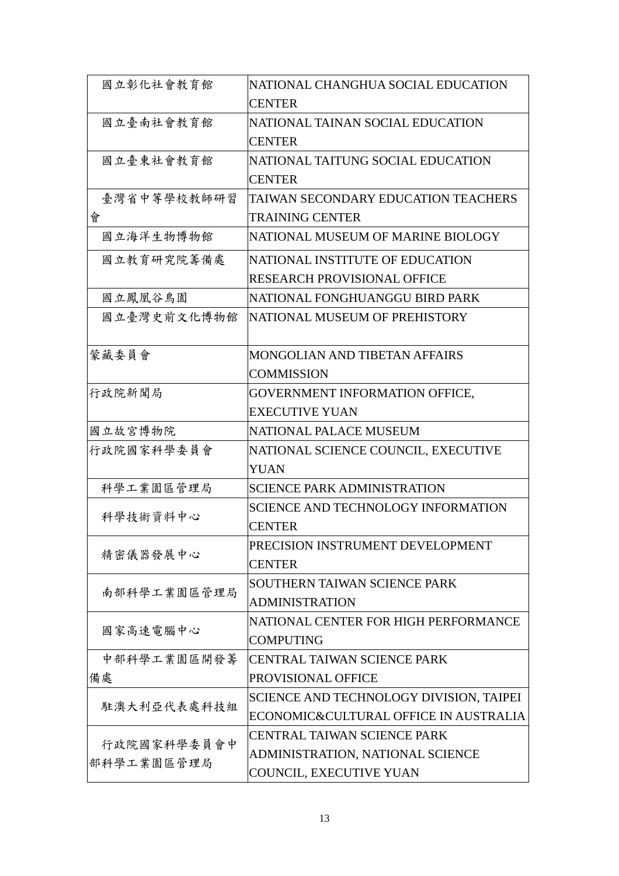| 國立彰化社會教育館   | NATIONAL CHANGHUA SOCIAL EDUCATION        |
|-------------|-------------------------------------------|
|             | <b>CENTER</b>                             |
| 國立臺南社會教育館   | NATIONAL TAINAN SOCIAL EDUCATION          |
|             | <b>CENTER</b>                             |
| 國立臺東社會教育館   | NATIONAL TAITUNG SOCIAL EDUCATION         |
|             | <b>CENTER</b>                             |
| 臺灣省中等學校教師研習 | TAIWAN SECONDARY EDUCATION TEACHERS       |
| 會           | <b>TRAINING CENTER</b>                    |
| 國立海洋生物博物館   | NATIONAL MUSEUM OF MARINE BIOLOGY         |
| 國立教育研究院籌備處  | NATIONAL INSTITUTE OF EDUCATION           |
|             | <b>RESEARCH PROVISIONAL OFFICE</b>        |
| 國立鳳凰谷鳥園     | NATIONAL FONGHUANGGU BIRD PARK            |
| 國立臺灣史前文化博物館 | NATIONAL MUSEUM OF PREHISTORY             |
|             |                                           |
| 蒙藏委員會       | <b>MONGOLIAN AND TIBETAN AFFAIRS</b>      |
|             | <b>COMMISSION</b>                         |
| 行政院新聞局      | GOVERNMENT INFORMATION OFFICE,            |
|             | <b>EXECUTIVE YUAN</b>                     |
| 國立故宮博物院     | <b>NATIONAL PALACE MUSEUM</b>             |
| 行政院國家科學委員會  | NATIONAL SCIENCE COUNCIL, EXECUTIVE       |
|             | <b>YUAN</b>                               |
| 科學工業園區管理局   | <b>SCIENCE PARK ADMINISTRATION</b>        |
| 科學技術資料中心    | <b>SCIENCE AND TECHNOLOGY INFORMATION</b> |
|             | <b>CENTER</b>                             |
| 精密儀器發展中心    | PRECISION INSTRUMENT DEVELOPMENT          |
|             | <b>CENTER</b>                             |
| 南部科學工業園區管理局 | SOUTHERN TAIWAN SCIENCE PARK              |
|             | <b>ADMINISTRATION</b>                     |
| 國家高速電腦中心    | NATIONAL CENTER FOR HIGH PERFORMANCE      |
|             | <b>COMPUTING</b>                          |
| 中部科學工業園區開發籌 | <b>CENTRAL TAIWAN SCIENCE PARK</b>        |
| 備處          | PROVISIONAL OFFICE                        |
| 駐澳大利亞代表處科技組 | SCIENCE AND TECHNOLOGY DIVISION, TAIPEI   |
|             | ECONOMIC&CULTURAL OFFICE IN AUSTRALIA     |
| 行政院國家科學委員會中 | <b>CENTRAL TAIWAN SCIENCE PARK</b>        |
| 部科學工業園區管理局  | ADMINISTRATION, NATIONAL SCIENCE          |
|             | COUNCIL, EXECUTIVE YUAN                   |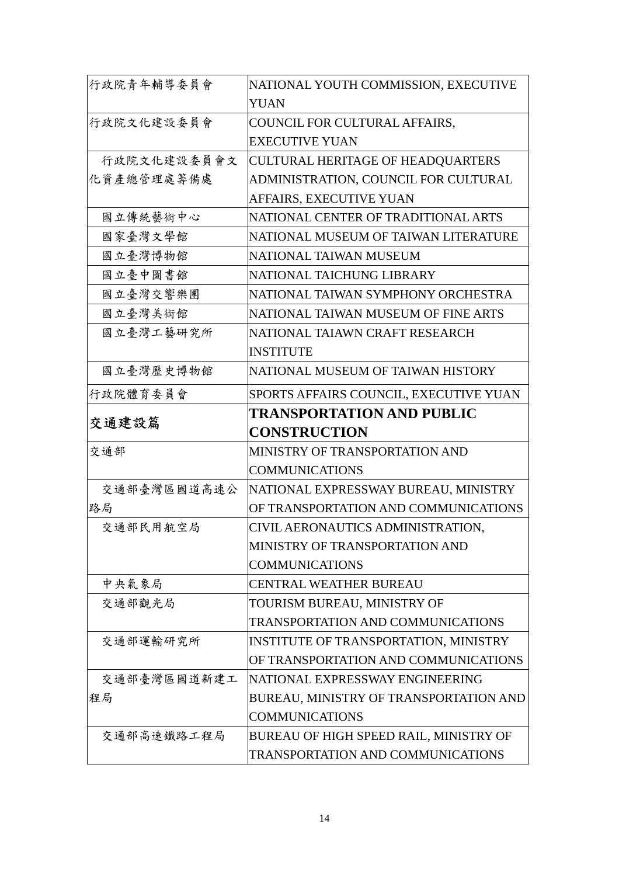| 行政院青年輔導委員會  | NATIONAL YOUTH COMMISSION, EXECUTIVE     |
|-------------|------------------------------------------|
|             | <b>YUAN</b>                              |
| 行政院文化建設委員會  | COUNCIL FOR CULTURAL AFFAIRS,            |
|             | <b>EXECUTIVE YUAN</b>                    |
| 行政院文化建設委員會文 | <b>CULTURAL HERITAGE OF HEADQUARTERS</b> |
| 化資產總管理處籌備處  | ADMINISTRATION, COUNCIL FOR CULTURAL     |
|             | AFFAIRS, EXECUTIVE YUAN                  |
| 國立傳統藝術中心    | NATIONAL CENTER OF TRADITIONAL ARTS      |
| 國家臺灣文學館     | NATIONAL MUSEUM OF TAIWAN LITERATURE     |
| 國立臺灣博物館     | NATIONAL TAIWAN MUSEUM                   |
| 國立臺中圖書館     | NATIONAL TAICHUNG LIBRARY                |
| 國立臺灣交響樂團    | NATIONAL TAIWAN SYMPHONY ORCHESTRA       |
| 國立臺灣美術館     | NATIONAL TAIWAN MUSEUM OF FINE ARTS      |
| 國立臺灣工藝研究所   | NATIONAL TAIAWN CRAFT RESEARCH           |
|             | <b>INSTITUTE</b>                         |
| 國立臺灣歷史博物館   | NATIONAL MUSEUM OF TAIWAN HISTORY        |
| 行政院體育委員會    | SPORTS AFFAIRS COUNCIL, EXECUTIVE YUAN   |
|             | <b>TRANSPORTATION AND PUBLIC</b>         |
|             |                                          |
| 交通建設篇       | <b>CONSTRUCTION</b>                      |
| 交通部         | MINISTRY OF TRANSPORTATION AND           |
|             | <b>COMMUNICATIONS</b>                    |
| 交通部臺灣區國道高速公 | NATIONAL EXPRESSWAY BUREAU, MINISTRY     |
| 路局          | OF TRANSPORTATION AND COMMUNICATIONS     |
| 交通部民用航空局    | CIVIL AERONAUTICS ADMINISTRATION,        |
|             | MINISTRY OF TRANSPORTATION AND           |
|             | <b>COMMUNICATIONS</b>                    |
| 中央氣象局       | <b>CENTRAL WEATHER BUREAU</b>            |
| 交通部觀光局      | TOURISM BUREAU, MINISTRY OF              |
|             | TRANSPORTATION AND COMMUNICATIONS        |
| 交通部運輸研究所    | INSTITUTE OF TRANSPORTATION, MINISTRY    |
|             | OF TRANSPORTATION AND COMMUNICATIONS     |
| 交通部臺灣區國道新建工 | INATIONAL EXPRESSWAY ENGINEERING         |
| 程局          | BUREAU, MINISTRY OF TRANSPORTATION AND   |
|             | <b>COMMUNICATIONS</b>                    |
| 交通部高速鐵路工程局  | BUREAU OF HIGH SPEED RAIL, MINISTRY OF   |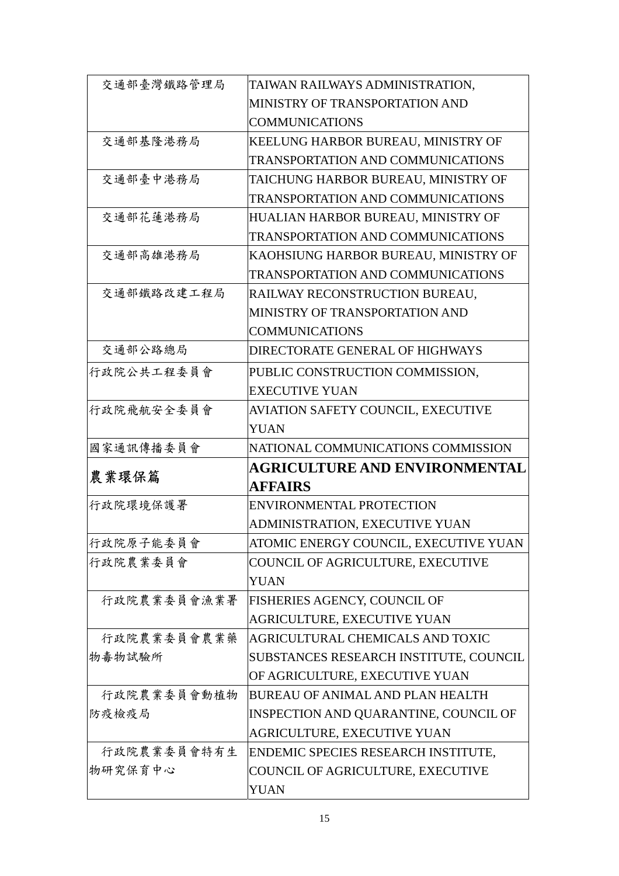| 交通部臺灣鐵路管理局  | TAIWAN RAILWAYS ADMINISTRATION,          |
|-------------|------------------------------------------|
|             | MINISTRY OF TRANSPORTATION AND           |
|             | <b>COMMUNICATIONS</b>                    |
| 交通部基隆港務局    | KEELUNG HARBOR BUREAU, MINISTRY OF       |
|             | TRANSPORTATION AND COMMUNICATIONS        |
| 交通部臺中港務局    | TAICHUNG HARBOR BUREAU, MINISTRY OF      |
|             | TRANSPORTATION AND COMMUNICATIONS        |
| 交通部花蓮港務局    | HUALIAN HARBOR BUREAU, MINISTRY OF       |
|             | TRANSPORTATION AND COMMUNICATIONS        |
| 交通部高雄港務局    | KAOHSIUNG HARBOR BUREAU, MINISTRY OF     |
|             | <b>TRANSPORTATION AND COMMUNICATIONS</b> |
| 交通部鐵路改建工程局  | RAILWAY RECONSTRUCTION BUREAU,           |
|             | MINISTRY OF TRANSPORTATION AND           |
|             | <b>COMMUNICATIONS</b>                    |
| 交通部公路總局     | DIRECTORATE GENERAL OF HIGHWAYS          |
| 行政院公共工程委員會  | PUBLIC CONSTRUCTION COMMISSION,          |
|             | <b>EXECUTIVE YUAN</b>                    |
| 行政院飛航安全委員會  | AVIATION SAFETY COUNCIL, EXECUTIVE       |
|             | <b>YUAN</b>                              |
|             |                                          |
| 國家通訊傳播委員會   | NATIONAL COMMUNICATIONS COMMISSION       |
|             | AGRICULTURE AND ENVIRONMENTAL            |
| 農業環保篇       | <b>AFFAIRS</b>                           |
| 行政院環境保護署    | <b>ENVIRONMENTAL PROTECTION</b>          |
|             | ADMINISTRATION, EXECUTIVE YUAN           |
| 行政院原子能委員會   | ATOMIC ENERGY COUNCIL, EXECUTIVE YUAN    |
| 行政院農業委員會    | COUNCIL OF AGRICULTURE, EXECUTIVE        |
|             | <b>YUAN</b>                              |
| 行政院農業委員會漁業署 | <b>FISHERIES AGENCY, COUNCIL OF</b>      |
|             | AGRICULTURE, EXECUTIVE YUAN              |
| 行政院農業委員會農業藥 | AGRICULTURAL CHEMICALS AND TOXIC         |
| 物毒物試驗所      | SUBSTANCES RESEARCH INSTITUTE, COUNCIL   |
|             | OF AGRICULTURE, EXECUTIVE YUAN           |
| 行政院農業委員會動植物 | <b>BUREAU OF ANIMAL AND PLAN HEALTH</b>  |
| 防疫檢疫局       | INSPECTION AND QUARANTINE, COUNCIL OF    |
|             | AGRICULTURE, EXECUTIVE YUAN              |
| 行政院農業委員會特有生 | ENDEMIC SPECIES RESEARCH INSTITUTE,      |
| 物研究保育中心     | COUNCIL OF AGRICULTURE, EXECUTIVE        |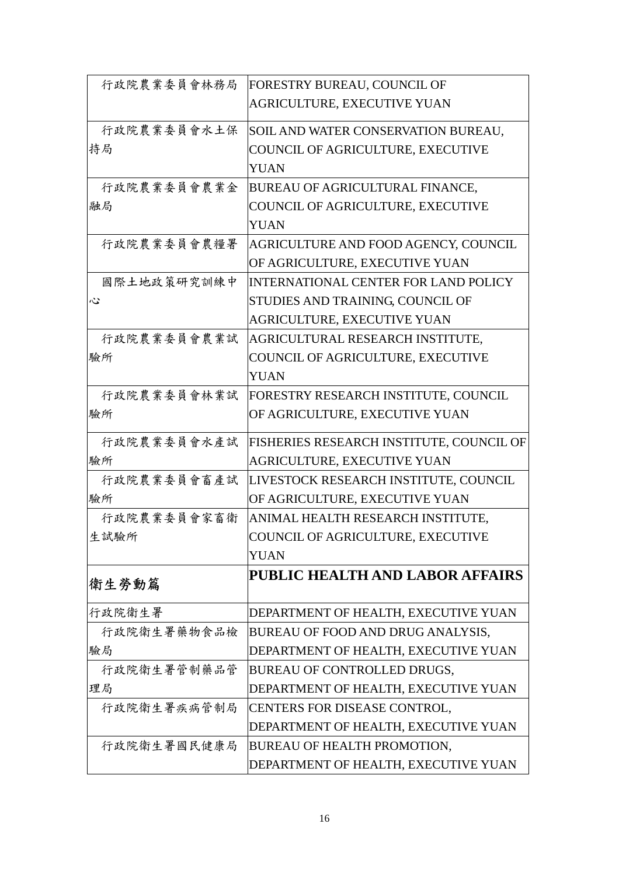| 行政院農業委員會林務局 | FORESTRY BUREAU, COUNCIL OF              |
|-------------|------------------------------------------|
|             | AGRICULTURE, EXECUTIVE YUAN              |
| 行政院農業委員會水土保 | SOIL AND WATER CONSERVATION BUREAU,      |
| 持局          | COUNCIL OF AGRICULTURE, EXECUTIVE        |
|             | <b>YUAN</b>                              |
| 行政院農業委員會農業金 | BUREAU OF AGRICULTURAL FINANCE,          |
| 融局          | COUNCIL OF AGRICULTURE, EXECUTIVE        |
|             | <b>YUAN</b>                              |
| 行政院農業委員會農糧署 | AGRICULTURE AND FOOD AGENCY, COUNCIL     |
|             | OF AGRICULTURE, EXECUTIVE YUAN           |
| 國際土地政策研究訓練中 | INTERNATIONAL CENTER FOR LAND POLICY     |
| 心           | STUDIES AND TRAINING, COUNCIL OF         |
|             | AGRICULTURE, EXECUTIVE YUAN              |
| 行政院農業委員會農業試 | AGRICULTURAL RESEARCH INSTITUTE,         |
| 驗所          | COUNCIL OF AGRICULTURE, EXECUTIVE        |
|             | <b>YUAN</b>                              |
| 行政院農業委員會林業試 | FORESTRY RESEARCH INSTITUTE, COUNCIL     |
| 驗所          | OF AGRICULTURE, EXECUTIVE YUAN           |
| 行政院農業委員會水產試 | FISHERIES RESEARCH INSTITUTE, COUNCIL OF |
| 驗所          | AGRICULTURE, EXECUTIVE YUAN              |
| 行政院農業委員會畜產試 | LIVESTOCK RESEARCH INSTITUTE, COUNCIL    |
| 驗所          | OF AGRICULTURE, EXECUTIVE YUAN           |
| 行政院農業委員會家畜衛 | ANIMAL HEALTH RESEARCH INSTITUTE,        |
| 生試驗所        | COUNCIL OF AGRICULTURE, EXECUTIVE        |
|             | <b>YUAN</b>                              |
| 衛生勞動篇       | <b>PUBLIC HEALTH AND LABOR AFFAIRS</b>   |
|             |                                          |
| 行政院衛生署      | DEPARTMENT OF HEALTH, EXECUTIVE YUAN     |
| 行政院衛生署藥物食品檢 | BUREAU OF FOOD AND DRUG ANALYSIS,        |
| 驗局          | DEPARTMENT OF HEALTH, EXECUTIVE YUAN     |
| 行政院衛生署管制藥品管 | BUREAU OF CONTROLLED DRUGS,              |
| 理局          | DEPARTMENT OF HEALTH, EXECUTIVE YUAN     |
| 行政院衛生署疾病管制局 | CENTERS FOR DISEASE CONTROL,             |
|             | DEPARTMENT OF HEALTH, EXECUTIVE YUAN     |
| 行政院衛生署國民健康局 | BUREAU OF HEALTH PROMOTION,              |
|             | DEPARTMENT OF HEALTH, EXECUTIVE YUAN     |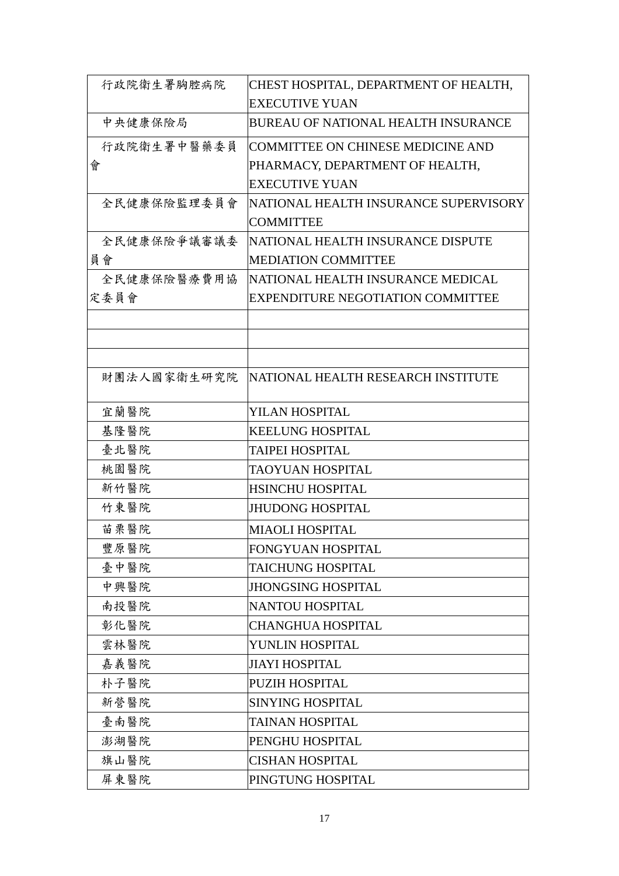| 行政院衛生署胸腔病院  | CHEST HOSPITAL, DEPARTMENT OF HEALTH,      |
|-------------|--------------------------------------------|
|             | <b>EXECUTIVE YUAN</b>                      |
| 中央健康保險局     | <b>BUREAU OF NATIONAL HEALTH INSURANCE</b> |
| 行政院衛生署中醫藥委員 | COMMITTEE ON CHINESE MEDICINE AND          |
| 會           | PHARMACY, DEPARTMENT OF HEALTH,            |
|             | <b>EXECUTIVE YUAN</b>                      |
| 全民健康保險監理委員會 | NATIONAL HEALTH INSURANCE SUPERVISORY      |
|             | <b>COMMITTEE</b>                           |
| 全民健康保險爭議審議委 | NATIONAL HEALTH INSURANCE DISPUTE          |
| 員會          | <b>MEDIATION COMMITTEE</b>                 |
| 全民健康保險醫療費用協 | NATIONAL HEALTH INSURANCE MEDICAL          |
| 定委員會        | <b>EXPENDITURE NEGOTIATION COMMITTEE</b>   |
|             |                                            |
|             |                                            |
|             |                                            |
| 財團法人國家衛生研究院 | NATIONAL HEALTH RESEARCH INSTITUTE         |
| 宜蘭醫院        | YILAN HOSPITAL                             |
| 基隆醫院        | <b>KEELUNG HOSPITAL</b>                    |
| 臺北醫院        | <b>TAIPEI HOSPITAL</b>                     |
| 桃園醫院        | TAOYUAN HOSPITAL                           |
| 新竹醫院        | <b>HSINCHU HOSPITAL</b>                    |
| 竹東醫院        | <b>JHUDONG HOSPITAL</b>                    |
| 苗栗醫院        | <b>MIAOLI HOSPITAL</b>                     |
| 豐原醫院        | <b>FONGYUAN HOSPITAL</b>                   |
| 臺中醫院        | <b>TAICHUNG HOSPITAL</b>                   |
| 中興醫院        | <b>JHONGSING HOSPITAL</b>                  |
| 南投醫院        | <b>NANTOU HOSPITAL</b>                     |
| 彰化醫院        | <b>CHANGHUA HOSPITAL</b>                   |
| 雲林醫院        | YUNLIN HOSPITAL                            |
| 嘉義醫院        | <b>JIAYI HOSPITAL</b>                      |
| 朴子醫院        | PUZIH HOSPITAL                             |
| 新營醫院        | <b>SINYING HOSPITAL</b>                    |
| 臺南醫院        | <b>TAINAN HOSPITAL</b>                     |
| 澎湖醫院        | PENGHU HOSPITAL                            |
| 旗山醫院        | <b>CISHAN HOSPITAL</b>                     |
| 屏東醫院        | PINGTUNG HOSPITAL                          |